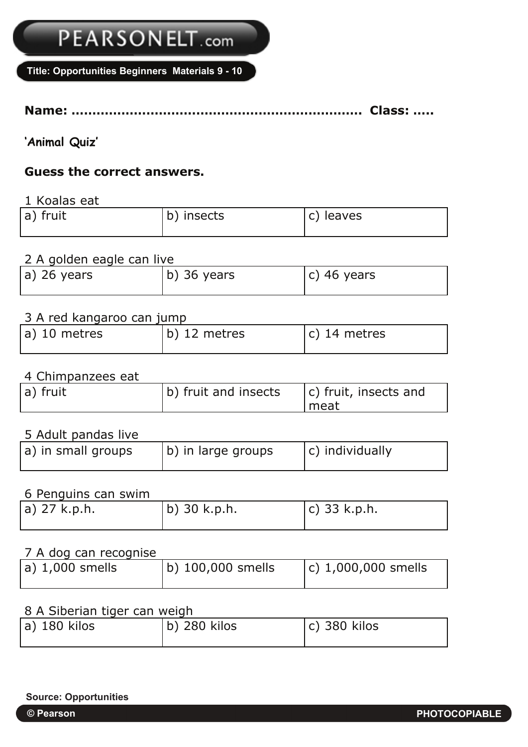# PEARSONELT.com

**Title: Opportunities Beginners Materials 9 - 10**

**Name: ……………………………………………………………. Class: …..**

**'Animal Quiz'**

## **Guess the correct answers.**

1 Koalas eat

| a) fruit | b) insects | c) leaves |
|----------|------------|-----------|
|          |            |           |

### 2 A golden eagle can live

| a) 26 years | b) 36 years | $(c)$ 46 years |
|-------------|-------------|----------------|

#### 3 A red kangaroo can jump

| a) 10 metres | b) 12 metres | $(c)$ 14 metres |
|--------------|--------------|-----------------|

#### 4 Chimpanzees eat

| a) fruit | (b) fruit and insects | $ c\rangle$ fruit, insects and |
|----------|-----------------------|--------------------------------|
|          |                       | I meat                         |

#### 5 Adult pandas live

| a) in small groups | b) in large groups | $ c\rangle$ individually |
|--------------------|--------------------|--------------------------|

#### 6 Penguins can swim

| a) 27 k.p.h. | $ b\rangle$ 30 k.p.h. | $ c $ 33 k.p.h. |
|--------------|-----------------------|-----------------|
|              |                       |                 |

### 7 A dog can recognise

| $ a\rangle$ 1,000 smells | b) 100,000 smells | $(c)$ 1,000,000 smells |
|--------------------------|-------------------|------------------------|
|--------------------------|-------------------|------------------------|

## 8 A Siberian tiger can weigh

| b) 280 kilos<br>$ a $ 180 kilos<br>$ c $ 380 kilos |  |
|----------------------------------------------------|--|
|----------------------------------------------------|--|